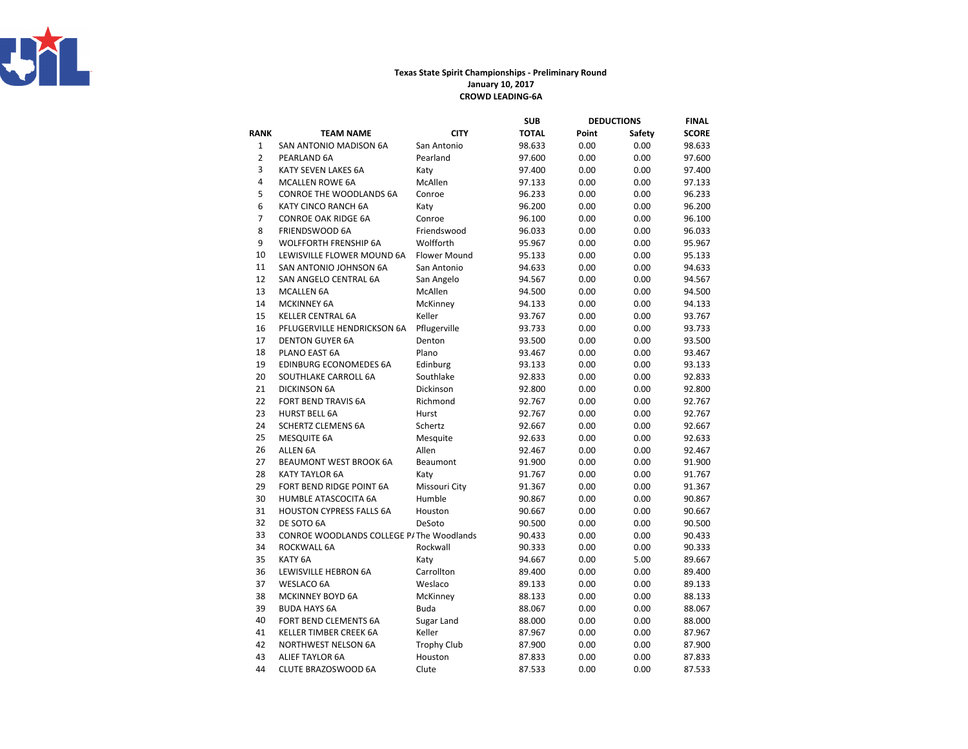

## Texas State Spirit Championships - Preliminary RoundJanuary 10, 2017CROWD LEADING-6A

|                |                                          |                     | SUB          |       | <b>DEDUCTIONS</b> | FINAL        |
|----------------|------------------------------------------|---------------------|--------------|-------|-------------------|--------------|
| <b>RANK</b>    | <b>TEAM NAME</b>                         | <b>CITY</b>         | <b>TOTAL</b> | Point | Safety            | <b>SCORE</b> |
| $\mathbf 1$    | SAN ANTONIO MADISON 6A                   | San Antonio         | 98.633       | 0.00  | 0.00              | 98.633       |
| $\overline{2}$ | PEARLAND 6A                              | Pearland            | 97.600       | 0.00  | 0.00              | 97.600       |
| 3              | KATY SEVEN LAKES 6A                      | Katy                | 97.400       | 0.00  | 0.00              | 97.400       |
| 4              | <b>MCALLEN ROWE 6A</b>                   | McAllen             | 97.133       | 0.00  | 0.00              | 97.133       |
| 5              | CONROE THE WOODLANDS 6A                  | Conroe              | 96.233       | 0.00  | 0.00              | 96.233       |
| 6              | KATY CINCO RANCH 6A                      | Katy                | 96.200       | 0.00  | 0.00              | 96.200       |
| $\overline{7}$ | <b>CONROE OAK RIDGE 6A</b>               | Conroe              | 96.100       | 0.00  | 0.00              | 96.100       |
| 8              | <b>FRIENDSWOOD 6A</b>                    | Friendswood         | 96.033       | 0.00  | 0.00              | 96.033       |
| 9              | <b>WOLFFORTH FRENSHIP 6A</b>             | Wolfforth           | 95.967       | 0.00  | 0.00              | 95.967       |
| 10             | LEWISVILLE FLOWER MOUND 6A               | <b>Flower Mound</b> | 95.133       | 0.00  | 0.00              | 95.133       |
| 11             | SAN ANTONIO JOHNSON 6A                   | San Antonio         | 94.633       | 0.00  | 0.00              | 94.633       |
| 12             | SAN ANGELO CENTRAL 6A                    | San Angelo          | 94.567       | 0.00  | 0.00              | 94.567       |
| 13             | <b>MCALLEN 6A</b>                        | McAllen             | 94.500       | 0.00  | 0.00              | 94.500       |
| 14             | <b>MCKINNEY 6A</b>                       | McKinney            | 94.133       | 0.00  | 0.00              | 94.133       |
| 15             | <b>KELLER CENTRAL 6A</b>                 | Keller              | 93.767       | 0.00  | 0.00              | 93.767       |
| 16             | PFLUGERVILLE HENDRICKSON 6A              | Pflugerville        | 93.733       | 0.00  | 0.00              | 93.733       |
| 17             | <b>DENTON GUYER 6A</b>                   | Denton              | 93.500       | 0.00  | 0.00              | 93.500       |
| 18             | PLANO EAST 6A                            | Plano               | 93.467       | 0.00  | 0.00              | 93.467       |
| 19             | EDINBURG ECONOMEDES 6A                   | Edinburg            | 93.133       | 0.00  | 0.00              | 93.133       |
| 20             | SOUTHLAKE CARROLL 6A                     | Southlake           | 92.833       | 0.00  | 0.00              | 92.833       |
| 21             | <b>DICKINSON 6A</b>                      | Dickinson           | 92.800       | 0.00  | 0.00              | 92.800       |
| 22             | <b>FORT BEND TRAVIS 6A</b>               | Richmond            | 92.767       | 0.00  | 0.00              | 92.767       |
| 23             | <b>HURST BELL 6A</b>                     | Hurst               | 92.767       | 0.00  | 0.00              | 92.767       |
| 24             | <b>SCHERTZ CLEMENS 6A</b>                | Schertz             | 92.667       | 0.00  | 0.00              | 92.667       |
| 25             | <b>MESQUITE 6A</b>                       | Mesquite            | 92.633       | 0.00  | 0.00              | 92.633       |
| 26             | ALLEN 6A                                 | Allen               | 92.467       | 0.00  | 0.00              | 92.467       |
| 27             | <b>BEAUMONT WEST BROOK 6A</b>            | Beaumont            | 91.900       | 0.00  | 0.00              | 91.900       |
| 28             | <b>KATY TAYLOR 6A</b>                    | Katy                | 91.767       | 0.00  | 0.00              | 91.767       |
| 29             | FORT BEND RIDGE POINT 6A                 | Missouri City       | 91.367       | 0.00  | 0.00              | 91.367       |
| 30             | HUMBLE ATASCOCITA 6A                     | Humble              | 90.867       | 0.00  | 0.00              | 90.867       |
| 31             | <b>HOUSTON CYPRESS FALLS 6A</b>          | Houston             | 90.667       | 0.00  | 0.00              | 90.667       |
| 32             | DE SOTO 6A                               | DeSoto              | 90.500       | 0.00  | 0.00              | 90.500       |
| 33             | CONROE WOODLANDS COLLEGE P/The Woodlands |                     | 90.433       | 0.00  | 0.00              | 90.433       |
| 34             | ROCKWALL 6A                              | Rockwall            | 90.333       | 0.00  | 0.00              | 90.333       |
| 35             | KATY <sub>6A</sub>                       | Katy                | 94.667       | 0.00  | 5.00              | 89.667       |
| 36             | LEWISVILLE HEBRON 6A                     | Carrollton          | 89.400       | 0.00  | 0.00              | 89.400       |
| 37             | <b>WESLACO 6A</b>                        | Weslaco             | 89.133       | 0.00  | 0.00              | 89.133       |
| 38             | <b>MCKINNEY BOYD 6A</b>                  | McKinney            | 88.133       | 0.00  | 0.00              | 88.133       |
| 39             | <b>BUDA HAYS 6A</b>                      | <b>Buda</b>         | 88.067       | 0.00  | 0.00              | 88.067       |
| 40             | FORT BEND CLEMENTS 6A                    | Sugar Land          | 88.000       | 0.00  | 0.00              | 88.000       |
| 41             | KELLER TIMBER CREEK 6A                   | Keller              | 87.967       | 0.00  | 0.00              | 87.967       |
| 42             | <b>NORTHWEST NELSON 6A</b>               | <b>Trophy Club</b>  | 87.900       | 0.00  | 0.00              | 87.900       |
| 43             | ALIEF TAYLOR 6A                          | Houston             | 87.833       | 0.00  | 0.00              | 87.833       |
| 44             | CLUTE BRAZOSWOOD 6A                      | Clute               | 87.533       | 0.00  | 0.00              | 87.533       |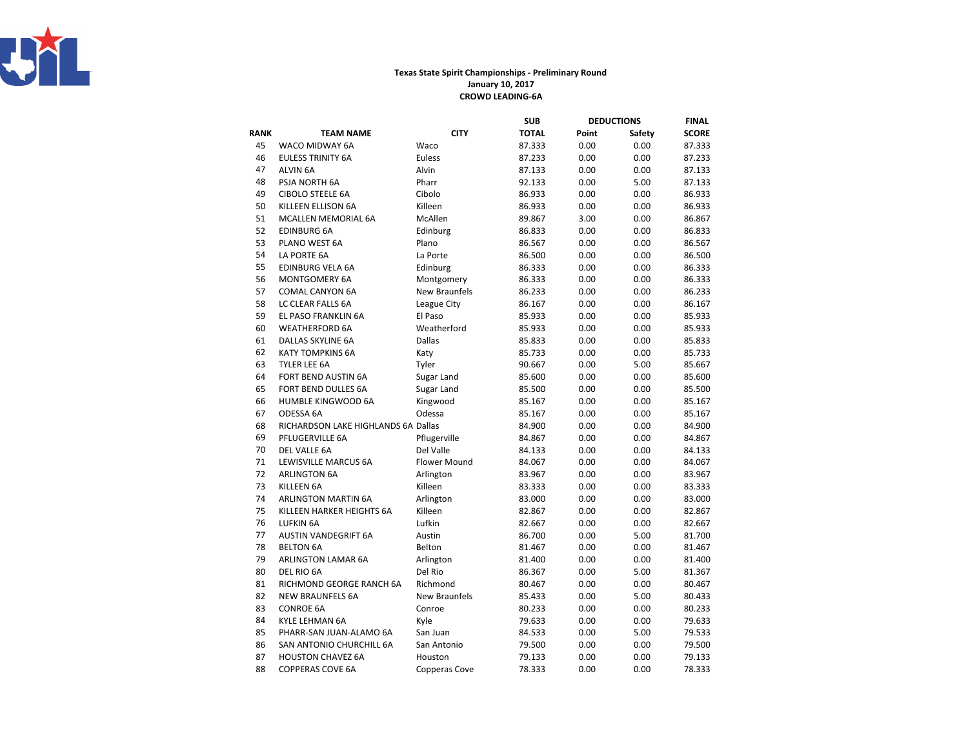

## Texas State Spirit Championships - Preliminary RoundJanuary 10, 2017CROWD LEADING-6A

|             |                                     |                      | <b>SUB</b>   |       | <b>DEDUCTIONS</b> | FINAL        |
|-------------|-------------------------------------|----------------------|--------------|-------|-------------------|--------------|
| <b>RANK</b> | <b>TEAM NAME</b>                    | <b>CITY</b>          | <b>TOTAL</b> | Point | Safety            | <b>SCORE</b> |
| 45          | WACO MIDWAY 6A                      | Waco                 | 87.333       | 0.00  | 0.00              | 87.333       |
| 46          | <b>EULESS TRINITY 6A</b>            | Euless               | 87.233       | 0.00  | 0.00              | 87.233       |
| 47          | <b>ALVIN 6A</b>                     | Alvin                | 87.133       | 0.00  | 0.00              | 87.133       |
| 48          | PSJA NORTH 6A                       | Pharr                | 92.133       | 0.00  | 5.00              | 87.133       |
| 49          | <b>CIBOLO STEELE 6A</b>             | Cibolo               | 86.933       | 0.00  | 0.00              | 86.933       |
| 50          | KILLEEN ELLISON 6A                  | Killeen              | 86.933       | 0.00  | 0.00              | 86.933       |
| 51          | MCALLEN MEMORIAL 6A                 | McAllen              | 89.867       | 3.00  | 0.00              | 86.867       |
| 52          | <b>EDINBURG 6A</b>                  | Edinburg             | 86.833       | 0.00  | 0.00              | 86.833       |
| 53          | PLANO WEST 6A                       | Plano                | 86.567       | 0.00  | 0.00              | 86.567       |
| 54          | LA PORTE 6A                         | La Porte             | 86.500       | 0.00  | 0.00              | 86.500       |
| 55          | <b>EDINBURG VELA 6A</b>             | Edinburg             | 86.333       | 0.00  | 0.00              | 86.333       |
| 56          | MONTGOMERY 6A                       | Montgomery           | 86.333       | 0.00  | 0.00              | 86.333       |
| 57          | <b>COMAL CANYON 6A</b>              | New Braunfels        | 86.233       | 0.00  | 0.00              | 86.233       |
| 58          | LC CLEAR FALLS 6A                   | League City          | 86.167       | 0.00  | 0.00              | 86.167       |
| 59          | EL PASO FRANKLIN 6A                 | El Paso              | 85.933       | 0.00  | 0.00              | 85.933       |
| 60          | <b>WEATHERFORD 6A</b>               | Weatherford          | 85.933       | 0.00  | 0.00              | 85.933       |
| 61          | DALLAS SKYLINE 6A                   | <b>Dallas</b>        | 85.833       | 0.00  | 0.00              | 85.833       |
| 62          | <b>KATY TOMPKINS 6A</b>             | Katy                 | 85.733       | 0.00  | 0.00              | 85.733       |
| 63          | TYLER LEE 6A                        | Tyler                | 90.667       | 0.00  | 5.00              | 85.667       |
| 64          | FORT BEND AUSTIN 6A                 | Sugar Land           | 85.600       | 0.00  | 0.00              | 85.600       |
| 65          | FORT BEND DULLES 6A                 | Sugar Land           | 85.500       | 0.00  | 0.00              | 85.500       |
| 66          | <b>HUMBLE KINGWOOD 6A</b>           | Kingwood             | 85.167       | 0.00  | 0.00              | 85.167       |
| 67          | ODESSA 6A                           | Odessa               | 85.167       | 0.00  | 0.00              | 85.167       |
| 68          | RICHARDSON LAKE HIGHLANDS 6A Dallas |                      | 84.900       | 0.00  | 0.00              | 84.900       |
| 69          | PFLUGERVILLE 6A                     | Pflugerville         | 84.867       | 0.00  | 0.00              | 84.867       |
| 70          | DEL VALLE 6A                        | Del Valle            | 84.133       | 0.00  | 0.00              | 84.133       |
| 71          | <b>LEWISVILLE MARCUS 6A</b>         | <b>Flower Mound</b>  | 84.067       | 0.00  | 0.00              | 84.067       |
| 72          | <b>ARLINGTON 6A</b>                 | Arlington            | 83.967       | 0.00  | 0.00              | 83.967       |
| 73          | KILLEEN 6A                          | Killeen              | 83.333       | 0.00  | 0.00              | 83.333       |
| 74          | <b>ARLINGTON MARTIN 6A</b>          | Arlington            | 83.000       | 0.00  | 0.00              | 83.000       |
| 75          | KILLEEN HARKER HEIGHTS 6A           | Killeen              | 82.867       | 0.00  | 0.00              | 82.867       |
| 76          | <b>LUFKIN 6A</b>                    | Lufkin               | 82.667       | 0.00  | 0.00              | 82.667       |
| 77          | AUSTIN VANDEGRIFT 6A                | Austin               | 86.700       | 0.00  | 5.00              | 81.700       |
| 78          | <b>BELTON 6A</b>                    | Belton               | 81.467       | 0.00  | 0.00              | 81.467       |
| 79          | <b>ARLINGTON LAMAR 6A</b>           | Arlington            | 81.400       | 0.00  | 0.00              | 81.400       |
| 80          | DEL RIO 6A                          | Del Rio              | 86.367       | 0.00  | 5.00              | 81.367       |
| 81          | RICHMOND GEORGE RANCH 6A            | Richmond             | 80.467       | 0.00  | 0.00              | 80.467       |
| 82          | <b>NEW BRAUNFELS 6A</b>             | <b>New Braunfels</b> | 85.433       | 0.00  | 5.00              | 80.433       |
| 83          | <b>CONROE 6A</b>                    | Conroe               | 80.233       | 0.00  | 0.00              | 80.233       |
| 84          | KYLE LEHMAN 6A                      | Kyle                 | 79.633       | 0.00  | 0.00              | 79.633       |
| 85          | PHARR-SAN JUAN-ALAMO 6A             | San Juan             | 84.533       | 0.00  | 5.00              | 79.533       |
| 86          | SAN ANTONIO CHURCHILL 6A            | San Antonio          | 79.500       | 0.00  | 0.00              | 79.500       |
| 87          | <b>HOUSTON CHAVEZ 6A</b>            | Houston              | 79.133       | 0.00  | 0.00              | 79.133       |
| 88          | <b>COPPERAS COVE 6A</b>             | Copperas Cove        | 78.333       | 0.00  | 0.00              | 78.333       |